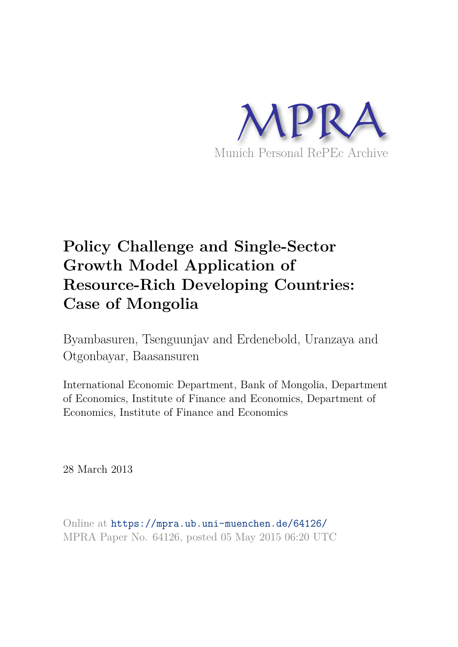

# **Policy Challenge and Single-Sector Growth Model Application of Resource-Rich Developing Countries: Case of Mongolia**

Byambasuren, Tsenguunjav and Erdenebold, Uranzaya and Otgonbayar, Baasansuren

International Economic Department, Bank of Mongolia, Department of Economics, Institute of Finance and Economics, Department of Economics, Institute of Finance and Economics

28 March 2013

Online at https://mpra.ub.uni-muenchen.de/64126/ MPRA Paper No. 64126, posted 05 May 2015 06:20 UTC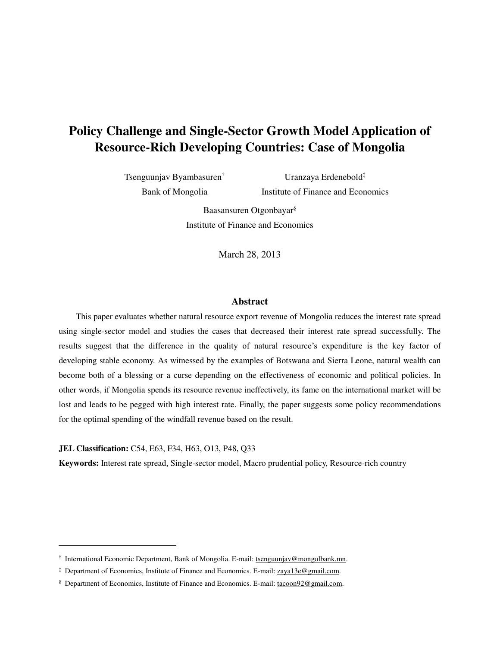# **Policy Challenge and Single-Sector Growth Model Application of Resource-Rich Developing Countries: Case of Mongolia**

Tsenguunjav Byambasuren† Bank of Mongolia

Uranzaya Erdenebold‡ Institute of Finance and Economics

Baasansuren Otgonbayar§ Institute of Finance and Economics

March 28, 2013

#### **Abstract**

This paper evaluates whether natural resource export revenue of Mongolia reduces the interest rate spread using single-sector model and studies the cases that decreased their interest rate spread successfully. The results suggest that the difference in the quality of natural resource's expenditure is the key factor of developing stable economy. As witnessed by the examples of Botswana and Sierra Leone, natural wealth can become both of a blessing or a curse depending on the effectiveness of economic and political policies. In other words, if Mongolia spends its resource revenue ineffectively, its fame on the international market will be lost and leads to be pegged with high interest rate. Finally, the paper suggests some policy recommendations for the optimal spending of the windfall revenue based on the result.

**JEL Classification:** C54, E63, F34, H63, O13, P48, Q33

<u>.</u>

**Keywords:** Interest rate spread, Single-sector model, Macro prudential policy, Resource-rich country

<sup>&</sup>lt;sup>†</sup> International Economic Department, Bank of Mongolia. E-mail: [tsenguunjav@mongolbank.mn.](mailto:tsenguunjav@mongolbank.mn)

<sup>&</sup>lt;sup>‡</sup> Department of Economics, Institute of Finance and Economics. E-mail: zaya13e@gmail.com.

<sup>&</sup>lt;sup>§</sup> Department of Economics, Institute of Finance and Economics. E-mail[: tacoon92@gmail.com.](mailto:tacoon92@gmail.com)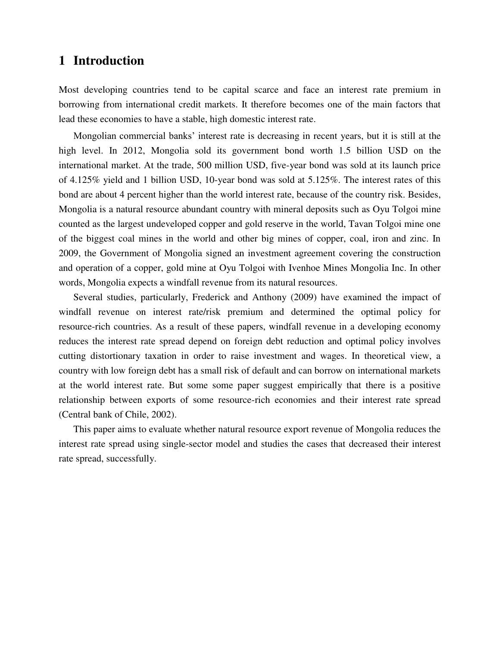# **1 Introduction**

Most developing countries tend to be capital scarce and face an interest rate premium in borrowing from international credit markets. It therefore becomes one of the main factors that lead these economies to have a stable, high domestic interest rate.

Mongolian commercial banks' interest rate is decreasing in recent years, but it is still at the high level. In 2012, Mongolia sold its government bond worth 1.5 billion USD on the international market. At the trade, 500 million USD, five-year bond was sold at its launch price of 4.125% yield and 1 billion USD, 10-year bond was sold at 5.125%. The interest rates of this bond are about 4 percent higher than the world interest rate, because of the country risk. Besides, Mongolia is a natural resource abundant country with mineral deposits such as Oyu Tolgoi mine counted as the largest undeveloped copper and gold reserve in the world, Tavan Tolgoi mine one of the biggest coal mines in the world and other big mines of copper, coal, iron and zinc. In 2009, the Government of Mongolia signed an investment agreement covering the construction and operation of a copper, gold mine at Oyu Tolgoi with Ivenhoe Mines Mongolia Inc. In other words, Mongolia expects a windfall revenue from its natural resources.

Several studies, particularly, Frederick and Anthony (2009) have examined the impact of windfall revenue on interest rate/risk premium and determined the optimal policy for resource-rich countries. As a result of these papers, windfall revenue in a developing economy reduces the interest rate spread depend on foreign debt reduction and optimal policy involves cutting distortionary taxation in order to raise investment and wages. In theoretical view, a country with low foreign debt has a small risk of default and can borrow on international markets at the world interest rate. But some some paper suggest empirically that there is a positive relationship between exports of some resource-rich economies and their interest rate spread (Central bank of Chile, 2002).

This paper aims to evaluate whether natural resource export revenue of Mongolia reduces the interest rate spread using single-sector model and studies the cases that decreased their interest rate spread, successfully.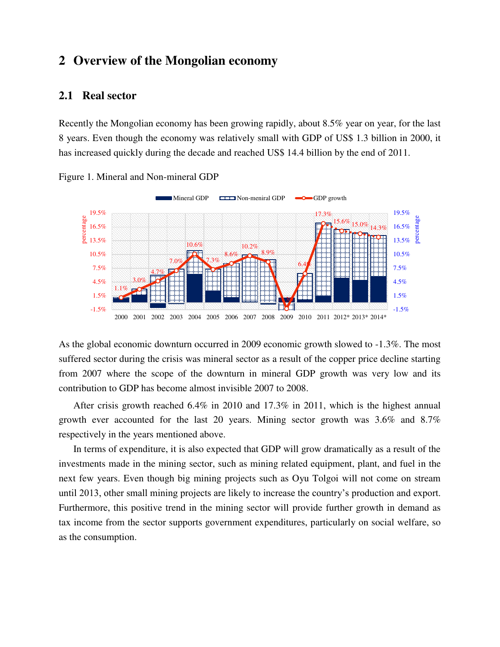# **2 Overview of the Mongolian economy**

# **2.1 Real sector**

Recently the Mongolian economy has been growing rapidly, about 8.5% year on year, for the last 8 years. Even though the economy was relatively small with GDP of US\$ 1.3 billion in 2000, it has increased quickly during the decade and reached US\$ 14.4 billion by the end of 2011.



Figure 1. Mineral and Non-mineral GDP

As the global economic downturn occurred in 2009 economic growth slowed to -1.3%. The most suffered sector during the crisis was mineral sector as a result of the copper price decline starting from 2007 where the scope of the downturn in mineral GDP growth was very low and its contribution to GDP has become almost invisible 2007 to 2008.

After crisis growth reached 6.4% in 2010 and 17.3% in 2011, which is the highest annual growth ever accounted for the last 20 years. Mining sector growth was 3.6% and 8.7% respectively in the years mentioned above.

In terms of expenditure, it is also expected that GDP will grow dramatically as a result of the investments made in the mining sector, such as mining related equipment, plant, and fuel in the next few years. Even though big mining projects such as Oyu Tolgoi will not come on stream until 2013, other small mining projects are likely to increase the country's production and export. Furthermore, this positive trend in the mining sector will provide further growth in demand as tax income from the sector supports government expenditures, particularly on social welfare, so as the consumption.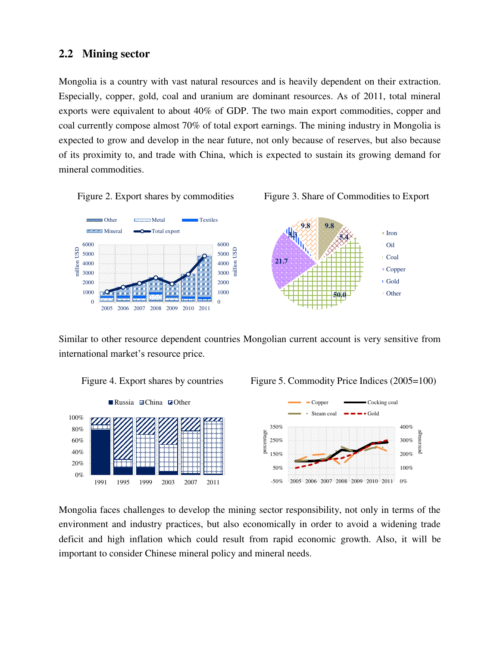# **2.2 Mining sector**

Mongolia is a country with vast natural resources and is heavily dependent on their extraction. Especially, copper, gold, coal and uranium are dominant resources. As of 2011, total mineral exports were equivalent to about 40% of GDP. The two main export commodities, copper and coal currently compose almost 70% of total export earnings. The mining industry in Mongolia is expected to grow and develop in the near future, not only because of reserves, but also because of its proximity to, and trade with China, which is expected to sustain its growing demand for mineral commodities.







Similar to other resource dependent countries Mongolian current account is very sensitive from international market's resource price.



Figure 4. Export shares by countries Figure 5. Commodity Price Indices (2005=100)



Mongolia faces challenges to develop the mining sector responsibility, not only in terms of the environment and industry practices, but also economically in order to avoid a widening trade deficit and high inflation which could result from rapid economic growth. Also, it will be important to consider Chinese mineral policy and mineral needs.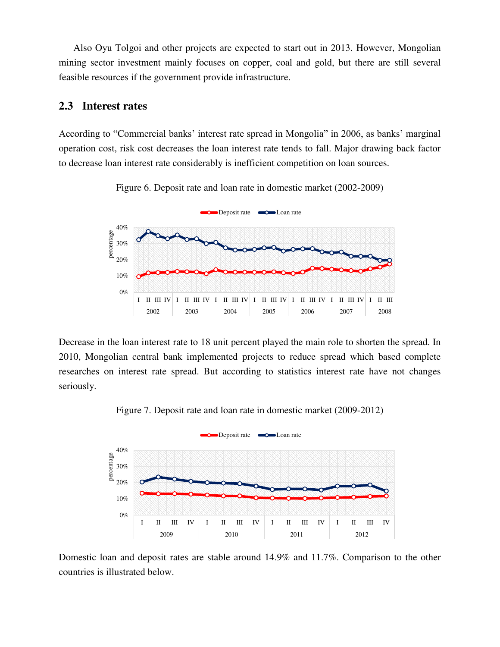Also Oyu Tolgoi and other projects are expected to start out in 2013. However, Mongolian mining sector investment mainly focuses on copper, coal and gold, but there are still several feasible resources if the government provide infrastructure.

# **2.3 Interest rates**

According to "Commercial banks' interest rate spread in Mongolia" in 2006, as banks' marginal operation cost, risk cost decreases the loan interest rate tends to fall. Major drawing back factor to decrease loan interest rate considerably is inefficient competition on loan sources.



Figure 6. Deposit rate and loan rate in domestic market (2002-2009)

Decrease in the loan interest rate to 18 unit percent played the main role to shorten the spread. In 2010, Mongolian central bank implemented projects to reduce spread which based complete researches on interest rate spread. But according to statistics interest rate have not changes seriously.





Domestic loan and deposit rates are stable around 14.9% and 11.7%. Comparison to the other countries is illustrated below.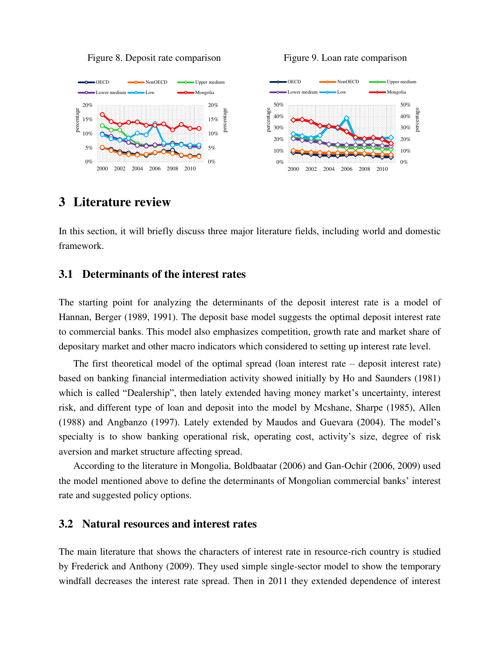Figure 8. Deposit rate comparison Figure 9. Loan rate comparison



# **3 Literature review**

In this section, it will briefly discuss three major literature fields, including world and domestic framework.

### **3.1 Determinants of the interest rates**

The starting point for analyzing the determinants of the deposit interest rate is a model of Hannan, Berger (1989, 1991). The deposit base model suggests the optimal deposit interest rate to commercial banks. This model also emphasizes competition, growth rate and market share of depositary market and other macro indicators which considered to setting up interest rate level.

The first theoretical model of the optimal spread (loan interest rate – deposit interest rate) based on banking financial intermediation activity showed initially by Ho and Saunders (1981) which is called "Dealership", then lately extended having money market's uncertainty, interest risk, and different type of loan and deposit into the model by Mcshane, Sharpe (1985), Allen (1988) and Angbanzo (1997). Lately extended by Maudos and Guevara (2004). The model's specialty is to show banking operational risk, operating cost, activity's size, degree of risk aversion and market structure affecting spread.

According to the literature in Mongolia, Boldbaatar (2006) and Gan-Ochir (2006, 2009) used the model mentioned above to define the determinants of Mongolian commercial banks' interest rate and suggested policy options.

### **3.2 Natural resources and interest rates**

The main literature that shows the characters of interest rate in resource-rich country is studied by Frederick and Anthony (2009). They used simple single-sector model to show the temporary windfall decreases the interest rate spread. Then in 2011 they extended dependence of interest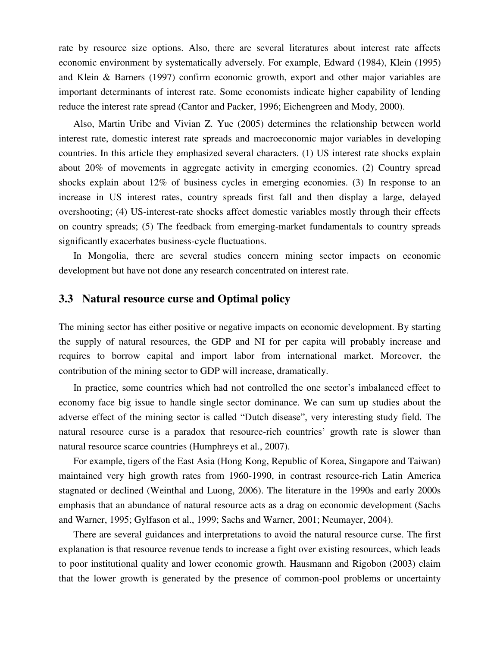rate by resource size options. Also, there are several literatures about interest rate affects economic environment by systematically adversely. For example, Edward (1984), Klein (1995) and Klein & Barners (1997) confirm economic growth, export and other major variables are important determinants of interest rate. Some economists indicate higher capability of lending reduce the interest rate spread (Cantor and Packer, 1996; Eichengreen and Mody, 2000).

Also, Martin Uribe and Vivian Z. Yue (2005) determines the relationship between world interest rate, domestic interest rate spreads and macroeconomic major variables in developing countries. In this article they emphasized several characters. (1) US interest rate shocks explain about 20% of movements in aggregate activity in emerging economies. (2) Country spread shocks explain about 12% of business cycles in emerging economies. (3) In response to an increase in US interest rates, country spreads first fall and then display a large, delayed overshooting; (4) US-interest-rate shocks affect domestic variables mostly through their effects on country spreads; (5) The feedback from emerging-market fundamentals to country spreads significantly exacerbates business-cycle fluctuations.

In Mongolia, there are several studies concern mining sector impacts on economic development but have not done any research concentrated on interest rate.

# **3.3 Natural resource curse and Optimal policy**

The mining sector has either positive or negative impacts on economic development. By starting the supply of natural resources, the GDP and NI for per capita will probably increase and requires to borrow capital and import labor from international market. Moreover, the contribution of the mining sector to GDP will increase, dramatically.

In practice, some countries which had not controlled the one sector's imbalanced effect to economy face big issue to handle single sector dominance. We can sum up studies about the adverse effect of the mining sector is called "Dutch disease", very interesting study field. The natural resource curse is a paradox that resource-rich countries' growth rate is slower than natural resource scarce countries (Humphreys et al., 2007).

For example, tigers of the East Asia (Hong Kong, Republic of Korea, Singapore and Taiwan) maintained very high growth rates from 1960-1990, in contrast resource-rich Latin America stagnated or declined (Weinthal and Luong, 2006). The literature in the 1990s and early 2000s emphasis that an abundance of natural resource acts as a drag on economic development (Sachs and Warner, 1995; Gylfason et al., 1999; Sachs and Warner, 2001; Neumayer, 2004).

There are several guidances and interpretations to avoid the natural resource curse. The first explanation is that resource revenue tends to increase a fight over existing resources, which leads to poor institutional quality and lower economic growth. Hausmann and Rigobon (2003) claim that the lower growth is generated by the presence of common-pool problems or uncertainty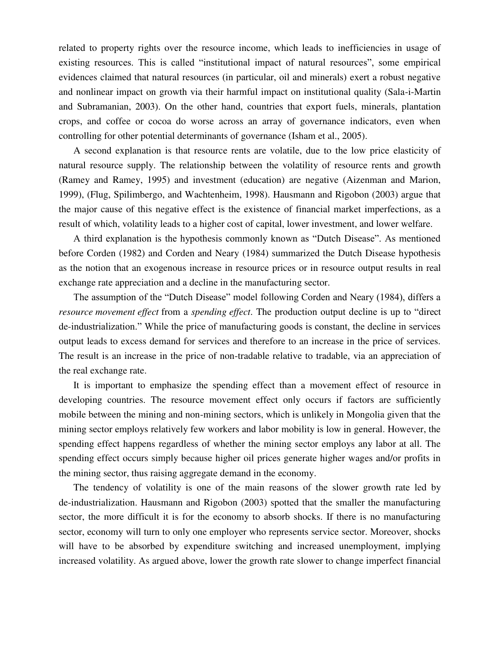related to property rights over the resource income, which leads to inefficiencies in usage of existing resources. This is called "institutional impact of natural resources", some empirical evidences claimed that natural resources (in particular, oil and minerals) exert a robust negative and nonlinear impact on growth via their harmful impact on institutional quality (Sala-i-Martin and Subramanian, 2003). On the other hand, countries that export fuels, minerals, plantation crops, and coffee or cocoa do worse across an array of governance indicators, even when controlling for other potential determinants of governance (Isham et al., 2005).

A second explanation is that resource rents are volatile, due to the low price elasticity of natural resource supply. The relationship between the volatility of resource rents and growth (Ramey and Ramey, 1995) and investment (education) are negative (Aizenman and Marion, 1999), (Flug, Spilimbergo, and Wachtenheim, 1998). Hausmann and Rigobon (2003) argue that the major cause of this negative effect is the existence of financial market imperfections, as a result of which, volatility leads to a higher cost of capital, lower investment, and lower welfare.

A third explanation is the hypothesis commonly known as "Dutch Disease". As mentioned before Corden (1982) and Corden and Neary (1984) summarized the Dutch Disease hypothesis as the notion that an exogenous increase in resource prices or in resource output results in real exchange rate appreciation and a decline in the manufacturing sector.

The assumption of the "Dutch Disease" model following Corden and Neary (1984), differs a *resource movement effect* from a *spending effect*. The production output decline is up to "direct de-industrialization." While the price of manufacturing goods is constant, the decline in services output leads to excess demand for services and therefore to an increase in the price of services. The result is an increase in the price of non-tradable relative to tradable, via an appreciation of the real exchange rate.

It is important to emphasize the spending effect than a movement effect of resource in developing countries. The resource movement effect only occurs if factors are sufficiently mobile between the mining and non-mining sectors, which is unlikely in Mongolia given that the mining sector employs relatively few workers and labor mobility is low in general. However, the spending effect happens regardless of whether the mining sector employs any labor at all. The spending effect occurs simply because higher oil prices generate higher wages and/or profits in the mining sector, thus raising aggregate demand in the economy.

The tendency of volatility is one of the main reasons of the slower growth rate led by de-industrialization. Hausmann and Rigobon (2003) spotted that the smaller the manufacturing sector, the more difficult it is for the economy to absorb shocks. If there is no manufacturing sector, economy will turn to only one employer who represents service sector. Moreover, shocks will have to be absorbed by expenditure switching and increased unemployment, implying increased volatility. As argued above, lower the growth rate slower to change imperfect financial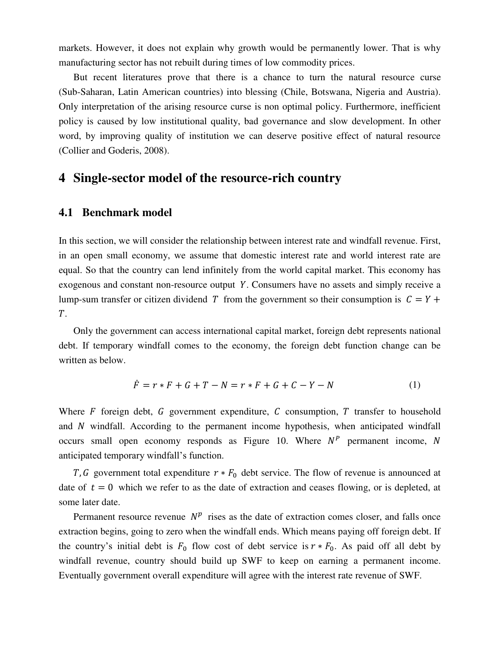markets. However, it does not explain why growth would be permanently lower. That is why manufacturing sector has not rebuilt during times of low commodity prices.

But recent literatures prove that there is a chance to turn the natural resource curse (Sub-Saharan, Latin American countries) into blessing (Chile, Botswana, Nigeria and Austria). Only interpretation of the arising resource curse is non optimal policy. Furthermore, inefficient policy is caused by low institutional quality, bad governance and slow development. In other word, by improving quality of institution we can deserve positive effect of natural resource (Collier and Goderis, 2008).

# **4 Single-sector model of the resource-rich country**

### **4.1 Benchmark model**

In this section, we will consider the relationship between interest rate and windfall revenue. First, in an open small economy, we assume that domestic interest rate and world interest rate are equal. So that the country can lend infinitely from the world capital market. This economy has exogenous and constant non-resource output Y. Consumers have no assets and simply receive a lump-sum transfer or citizen dividend T from the government so their consumption is  $C = Y +$  $T<sub>1</sub>$ 

Only the government can access international capital market, foreign debt represents national debt. If temporary windfall comes to the economy, the foreign debt function change can be written as below.

$$
\dot{F} = r * F + G + T - N = r * F + G + C - Y - N \tag{1}
$$

Where  $F$  foreign debt,  $G$  government expenditure,  $C$  consumption,  $T$  transfer to household and  $N$  windfall. According to the permanent income hypothesis, when anticipated windfall occurs small open economy responds as Figure 10. Where  $N^P$  permanent income, N anticipated temporary windfall's function.

T, G government total expenditure  $r * F_0$  debt service. The flow of revenue is announced at date of  $t = 0$  which we refer to as the date of extraction and ceases flowing, or is depleted, at some later date.

Permanent resource revenue  $N^p$  rises as the date of extraction comes closer, and falls once extraction begins, going to zero when the windfall ends. Which means paying off foreign debt. If the country's initial debt is  $F_0$  flow cost of debt service is  $r * F_0$ . As paid off all debt by windfall revenue, country should build up SWF to keep on earning a permanent income. Eventually government overall expenditure will agree with the interest rate revenue of SWF.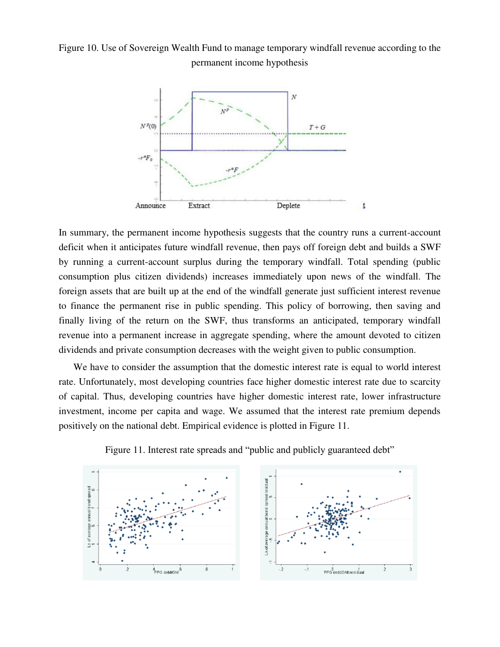Figure 10. Use of Sovereign Wealth Fund to manage temporary windfall revenue according to the permanent income hypothesis



In summary, the permanent income hypothesis suggests that the country runs a current-account deficit when it anticipates future windfall revenue, then pays off foreign debt and builds a SWF by running a current-account surplus during the temporary windfall. Total spending (public consumption plus citizen dividends) increases immediately upon news of the windfall. The foreign assets that are built up at the end of the windfall generate just sufficient interest revenue to finance the permanent rise in public spending. This policy of borrowing, then saving and finally living of the return on the SWF, thus transforms an anticipated, temporary windfall revenue into a permanent increase in aggregate spending, where the amount devoted to citizen dividends and private consumption decreases with the weight given to public consumption.

We have to consider the assumption that the domestic interest rate is equal to world interest rate. Unfortunately, most developing countries face higher domestic interest rate due to scarcity of capital. Thus, developing countries have higher domestic interest rate, lower infrastructure investment, income per capita and wage. We assumed that the interest rate premium depends positively on the national debt. Empirical evidence is plotted in Figure 11.



Figure 11. Interest rate spreads and "public and publicly guaranteed debt"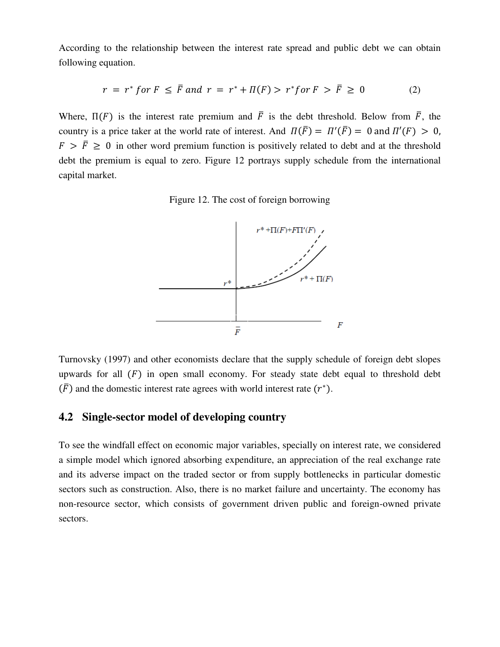According to the relationship between the interest rate spread and public debt we can obtain following equation.

$$
r = r^* \text{ for } F \leq \overline{F} \text{ and } r = r^* + \Pi(F) > r^* \text{ for } F > \overline{F} \geq 0 \tag{2}
$$

Where,  $\Pi(F)$  is the interest rate premium and  $\overline{F}$  is the debt threshold. Below from  $\overline{F}$ , the country is a price taker at the world rate of interest. And  $\Pi(F) = \Pi'(F) = 0$  and  $\Pi'(F) > 0$ ,  $F > \bar{F} > 0$  in other word premium function is positively related to debt and at the threshold debt the premium is equal to zero. Figure 12 portrays supply schedule from the international capital market.

Figure 12. The cost of foreign borrowing



Turnovsky (1997) and other economists declare that the supply schedule of foreign debt slopes upwards for all  $(F)$  in open small economy. For steady state debt equal to threshold debt  $(F)$  and the domestic interest rate agrees with world interest rate  $(r^*)$ .

# **4.2 Single-sector model of developing country**

To see the windfall effect on economic major variables, specially on interest rate, we considered a simple model which ignored absorbing expenditure, an appreciation of the real exchange rate and its adverse impact on the traded sector or from supply bottlenecks in particular domestic sectors such as construction. Also, there is no market failure and uncertainty. The economy has non-resource sector, which consists of government driven public and foreign-owned private sectors.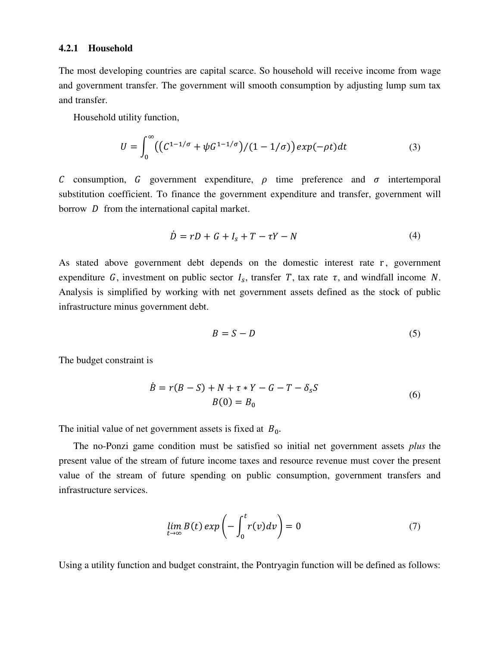#### **4.2.1 Household**

The most developing countries are capital scarce. So household will receive income from wage and government transfer. The government will smooth consumption by adjusting lump sum tax and transfer.

Household utility function,

$$
U = \int_0^{\infty} \left( \left( C^{1-1/\sigma} + \psi G^{1-1/\sigma} \right) / (1 - 1/\sigma) \right) \exp(-\rho t) dt \tag{3}
$$

C consumption, G government expenditure,  $\rho$  time preference and  $\sigma$  intertemporal substitution coefficient. To finance the government expenditure and transfer, government will borrow  $D$  from the international capital market.

$$
\dot{D} = rD + G + I_s + T - \tau Y - N \tag{4}
$$

As stated above government debt depends on the domestic interest rate r, government expenditure G, investment on public sector  $I_s$ , transfer T, tax rate  $\tau$ , and windfall income N. Analysis is simplified by working with net government assets defined as the stock of public infrastructure minus government debt.

$$
B = S - D \tag{5}
$$

The budget constraint is

$$
\dot{B} = r(B - S) + N + \tau * Y - G - T - \delta_s S
$$
  
\n
$$
B(0) = B_0
$$
 (6)

The initial value of net government assets is fixed at  $B_0$ .

The no-Ponzi game condition must be satisfied so initial net government assets *plus* the present value of the stream of future income taxes and resource revenue must cover the present value of the stream of future spending on public consumption, government transfers and infrastructure services.

$$
\lim_{t \to \infty} B(t) \exp\left(-\int_0^t r(v) dv\right) = 0 \tag{7}
$$

Using a utility function and budget constraint, the Pontryagin function will be defined as follows: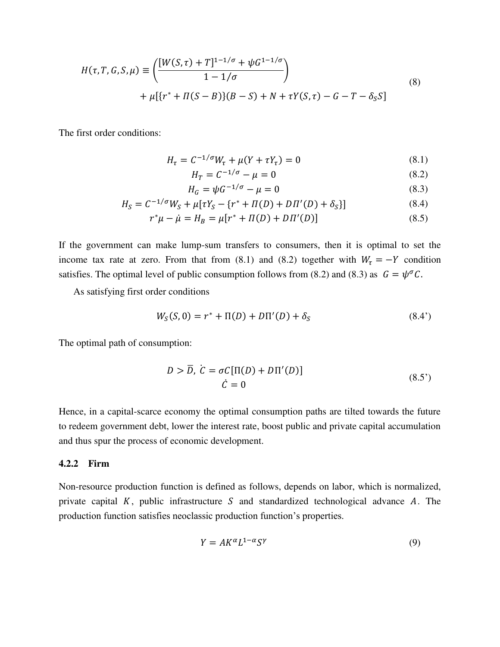$$
H(\tau, T, G, S, \mu) \equiv \left( \frac{[W(S, \tau) + T]^{1 - 1/\sigma} + \psi G^{1 - 1/\sigma}}{1 - 1/\sigma} \right)
$$
  
+ 
$$
\mu[\{r^* + \Pi(S - B)\}(B - S) + N + \tau Y(S, \tau) - G - T - \delta_S S]
$$
 (8)

The first order conditions:

$$
H_{\tau} = C^{-1/\sigma} W_{\tau} + \mu (Y + \tau Y_{\tau}) = 0 \tag{8.1}
$$

$$
H_T = C^{-1/\sigma} - \mu = 0 \tag{8.2}
$$

$$
H_G = \psi G^{-1/\sigma} - \mu = 0 \tag{8.3}
$$

$$
H_S = C^{-1/\sigma} W_S + \mu [\tau Y_S - \{r^* + \Pi(D) + D\Pi'(D) + \delta_S\}] \tag{8.4}
$$

$$
r^*\mu - \dot{\mu} = H_B = \mu[r^* + \Pi(D) + D\Pi'(D)] \tag{8.5}
$$

If the government can make lump-sum transfers to consumers, then it is optimal to set the income tax rate at zero. From that from (8.1) and (8.2) together with  $W_{\tau} = -Y$  condition satisfies. The optimal level of public consumption follows from (8.2) and (8.3) as  $G = \psi^{\sigma} C$ .

As satisfying first order conditions

$$
W_S(S,0) = r^* + \Pi(D) + D\Pi'(D) + \delta_S \tag{8.4'}
$$

The optimal path of consumption:

$$
D > \overline{D}, \ \dot{C} = \sigma C[\Pi(D) + D\Pi'(D)]
$$
  

$$
\dot{C} = 0
$$
 (8.5')

Hence, in a capital-scarce economy the optimal consumption paths are tilted towards the future to redeem government debt, lower the interest rate, boost public and private capital accumulation and thus spur the process of economic development.

#### **4.2.2 Firm**

Non-resource production function is defined as follows, depends on labor, which is normalized, private capital  $K$ , public infrastructure  $S$  and standardized technological advance  $A$ . The production function satisfies neoclassic production function's properties.

$$
Y = AK^{\alpha}L^{1-\alpha}S^{\gamma}
$$
 (9)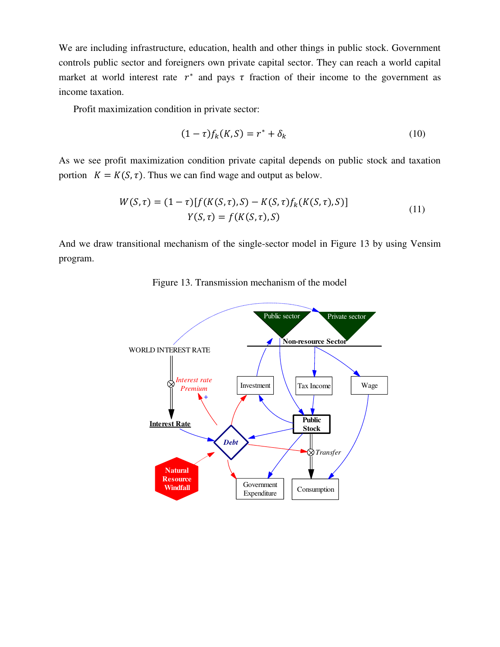We are including infrastructure, education, health and other things in public stock. Government controls public sector and foreigners own private capital sector. They can reach a world capital market at world interest rate  $r^*$  and pays  $\tau$  fraction of their income to the government as income taxation.

Profit maximization condition in private sector:

$$
(1 - \tau) f_k(K, S) = r^* + \delta_k \tag{10}
$$

As we see profit maximization condition private capital depends on public stock and taxation portion  $K = K(S, \tau)$ . Thus we can find wage and output as below.

$$
W(S,\tau) = (1-\tau)[f(K(S,\tau),S) - K(S,\tau)f_k(K(S,\tau),S)]
$$
  
 
$$
Y(S,\tau) = f(K(S,\tau),S)
$$
 (11)

And we draw transitional mechanism of the single-sector model in Figure 13 by using Vensim program.



Figure 13. Transmission mechanism of the model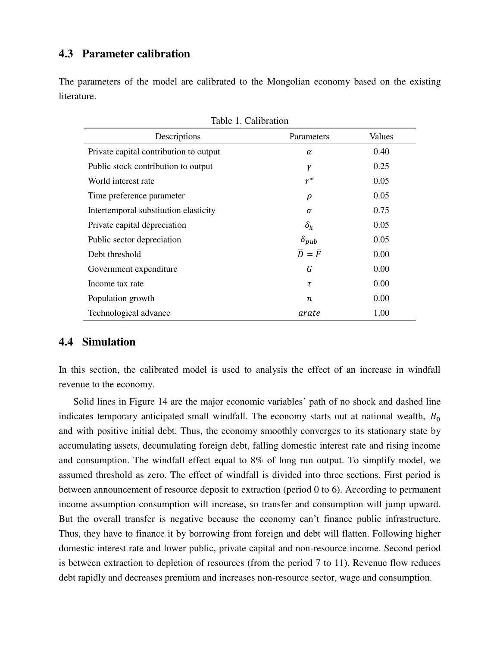# **4.3 Parameter calibration**

The parameters of the model are calibrated to the Mongolian economy based on the existing literature.

| raone 1. Cambration                    |                               |        |
|----------------------------------------|-------------------------------|--------|
| Descriptions                           | Parameters                    | Values |
| Private capital contribution to output | $\alpha$                      | 0.40   |
| Public stock contribution to output    | γ                             | 0.25   |
| World interest rate                    | $r^*$                         | 0.05   |
| Time preference parameter              | $\rho$                        | 0.05   |
| Intertemporal substitution elasticity  | σ                             | 0.75   |
| Private capital depreciation           | $\delta_k$                    | 0.05   |
| Public sector depreciation             | $\delta_{pub}$                | 0.05   |
| Debt threshold                         | $\overline{D} = \overline{F}$ | 0.00   |
| Government expenditure                 | G                             | 0.00   |
| Income tax rate                        | τ                             | 0.00   |
| Population growth                      | $\boldsymbol{n}$              | 0.00   |
| Technological advance                  | arate                         | 1.00   |

# **4.4 Simulation**

In this section, the calibrated model is used to analysis the effect of an increase in windfall revenue to the economy.

Solid lines in Figure 14 are the major economic variables' path of no shock and dashed line indicates temporary anticipated small windfall. The economy starts out at national wealth,  $B_0$ and with positive initial debt. Thus, the economy smoothly converges to its stationary state by accumulating assets, decumulating foreign debt, falling domestic interest rate and rising income and consumption. The windfall effect equal to 8% of long run output. To simplify model, we assumed threshold as zero. The effect of windfall is divided into three sections. First period is between announcement of resource deposit to extraction (period 0 to 6). According to permanent income assumption consumption will increase, so transfer and consumption will jump upward. But the overall transfer is negative because the economy can't finance public infrastructure. Thus, they have to finance it by borrowing from foreign and debt will flatten. Following higher domestic interest rate and lower public, private capital and non-resource income. Second period is between extraction to depletion of resources (from the period 7 to 11). Revenue flow reduces debt rapidly and decreases premium and increases non-resource sector, wage and consumption.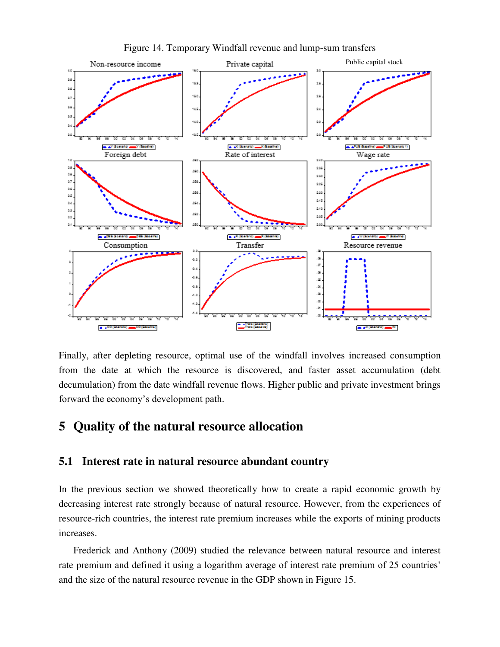

Figure 14. Temporary Windfall revenue and lump-sum transfers

Finally, after depleting resource, optimal use of the windfall involves increased consumption from the date at which the resource is discovered, and faster asset accumulation (debt decumulation) from the date windfall revenue flows. Higher public and private investment brings forward the economy's development path.

# **5 Quality of the natural resource allocation**

### **5.1 Interest rate in natural resource abundant country**

In the previous section we showed theoretically how to create a rapid economic growth by decreasing interest rate strongly because of natural resource. However, from the experiences of resource-rich countries, the interest rate premium increases while the exports of mining products increases.

Frederick and Anthony (2009) studied the relevance between natural resource and interest rate premium and defined it using a logarithm average of interest rate premium of 25 countries' and the size of the natural resource revenue in the GDP shown in Figure 15.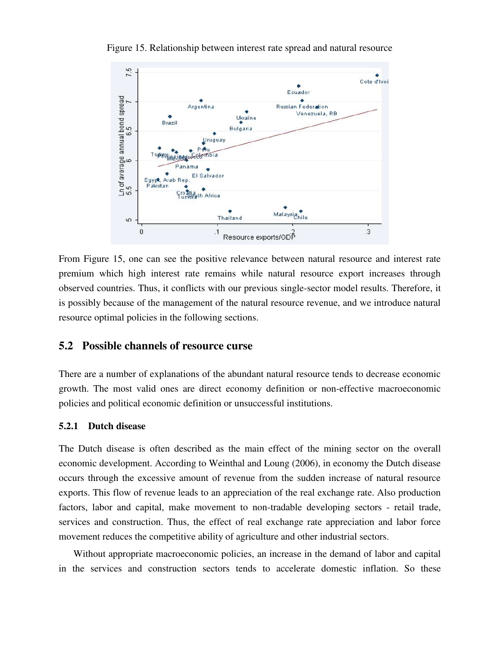

Figure 15. Relationship between interest rate spread and natural resource

From Figure 15, one can see the positive relevance between natural resource and interest rate premium which high interest rate remains while natural resource export increases through observed countries. Thus, it conflicts with our previous single-sector model results. Therefore, it is possibly because of the management of the natural resource revenue, and we introduce natural resource optimal policies in the following sections.

# **5.2 Possible channels of resource curse**

There are a number of explanations of the abundant natural resource tends to decrease economic growth. The most valid ones are direct economy definition or non-effective macroeconomic policies and political economic definition or unsuccessful institutions.

#### **5.2.1 Dutch disease**

The Dutch disease is often described as the main effect of the mining sector on the overall economic development. According to Weinthal and Loung (2006), in economy the Dutch disease occurs through the excessive amount of revenue from the sudden increase of natural resource exports. This flow of revenue leads to an appreciation of the real exchange rate. Also production factors, labor and capital, make movement to non-tradable developing sectors - retail trade, services and construction. Thus, the effect of real exchange rate appreciation and labor force movement reduces the competitive ability of agriculture and other industrial sectors.

Without appropriate macroeconomic policies, an increase in the demand of labor and capital in the services and construction sectors tends to accelerate domestic inflation. So these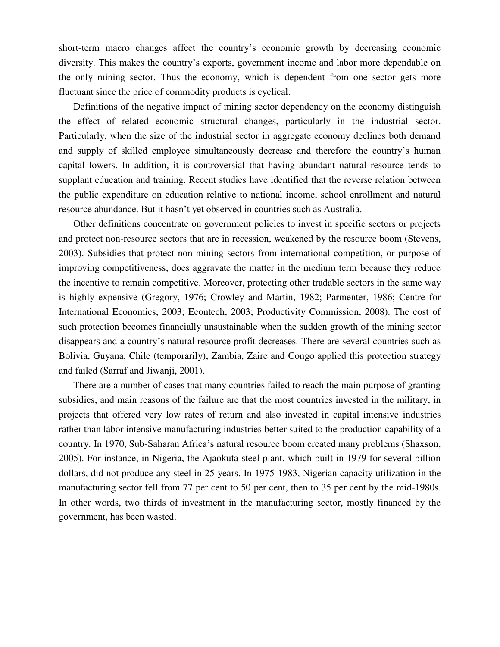short-term macro changes affect the country's economic growth by decreasing economic diversity. This makes the country's exports, government income and labor more dependable on the only mining sector. Thus the economy, which is dependent from one sector gets more fluctuant since the price of commodity products is cyclical.

Definitions of the negative impact of mining sector dependency on the economy distinguish the effect of related economic structural changes, particularly in the industrial sector. Particularly, when the size of the industrial sector in aggregate economy declines both demand and supply of skilled employee simultaneously decrease and therefore the country's human capital lowers. In addition, it is controversial that having abundant natural resource tends to supplant education and training. Recent studies have identified that the reverse relation between the public expenditure on education relative to national income, school enrollment and natural resource abundance. But it hasn't yet observed in countries such as Australia.

Other definitions concentrate on government policies to invest in specific sectors or projects and protect non-resource sectors that are in recession, weakened by the resource boom (Stevens, 2003). Subsidies that protect non-mining sectors from international competition, or purpose of improving competitiveness, does aggravate the matter in the medium term because they reduce the incentive to remain competitive. Moreover, protecting other tradable sectors in the same way is highly expensive (Gregory, 1976; Crowley and Martin, 1982; Parmenter, 1986; Centre for International Economics, 2003; Econtech, 2003; Productivity Commission, 2008). The cost of such protection becomes financially unsustainable when the sudden growth of the mining sector disappears and a country's natural resource profit decreases. There are several countries such as Bolivia, Guyana, Chile (temporarily), Zambia, Zaire and Congo applied this protection strategy and failed (Sarraf and Jiwanji, 2001).

There are a number of cases that many countries failed to reach the main purpose of granting subsidies, and main reasons of the failure are that the most countries invested in the military, in projects that offered very low rates of return and also invested in capital intensive industries rather than labor intensive manufacturing industries better suited to the production capability of a country. In 1970, Sub-Saharan Africa's natural resource boom created many problems (Shaxson, 2005). For instance, in Nigeria, the Ajaokuta steel plant, which built in 1979 for several billion dollars, did not produce any steel in 25 years. In 1975-1983, Nigerian capacity utilization in the manufacturing sector fell from 77 per cent to 50 per cent, then to 35 per cent by the mid-1980s. In other words, two thirds of investment in the manufacturing sector, mostly financed by the government, has been wasted.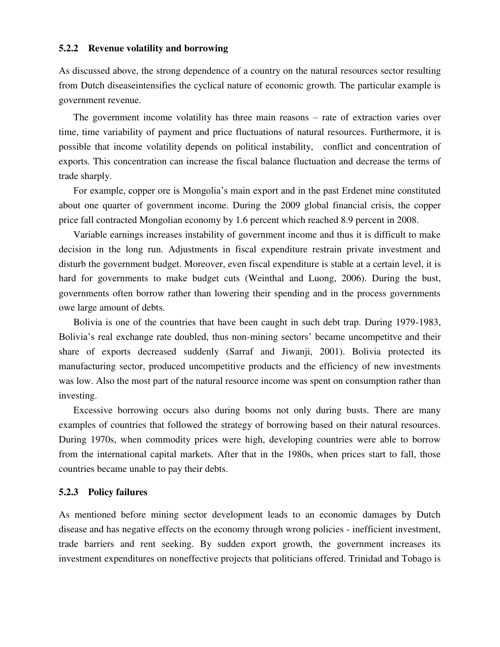#### **5.2.2 Revenue volatility and borrowing**

As discussed above, the strong dependence of a country on the natural resources sector resulting from Dutch diseaseintensifies the cyclical nature of economic growth. The particular example is government revenue.

The government income volatility has three main reasons – rate of extraction varies over time, time variability of payment and price fluctuations of natural resources. Furthermore, it is possible that income volatility depends on political instability, conflict and concentration of exports. This concentration can increase the fiscal balance fluctuation and decrease the terms of trade sharply.

For example, copper ore is Mongolia's main export and in the past Erdenet mine constituted about one quarter of government income. During the 2009 global financial crisis, the copper price fall contracted Mongolian economy by 1.6 percent which reached 8.9 percent in 2008.

Variable earnings increases instability of government income and thus it is difficult to make decision in the long run. Adjustments in fiscal expenditure restrain private investment and disturb the government budget. Moreover, even fiscal expenditure is stable at a certain level, it is hard for governments to make budget cuts (Weinthal and Luong, 2006). During the bust, governments often borrow rather than lowering their spending and in the process governments owe large amount of debts.

Bolivia is one of the countries that have been caught in such debt trap. During 1979-1983, Bolivia's real exchange rate doubled, thus non-mining sectors' became uncompetitve and their share of exports decreased suddenly (Sarraf and Jiwanji, 2001). Bolivia protected its manufacturing sector, produced uncompetitive products and the efficiency of new investments was low. Also the most part of the natural resource income was spent on consumption rather than investing.

Excessive borrowing occurs also during booms not only during busts. There are many examples of countries that followed the strategy of borrowing based on their natural resources. During 1970s, when commodity prices were high, developing countries were able to borrow from the international capital markets. After that in the 1980s, when prices start to fall, those countries became unable to pay their debts.

#### **5.2.3 Policy failures**

As mentioned before mining sector development leads to an economic damages by Dutch disease and has negative effects on the economy through wrong policies - inefficient investment, trade barriers and rent seeking. By sudden export growth, the government increases its investment expenditures on noneffective projects that politicians offered. Trinidad and Tobago is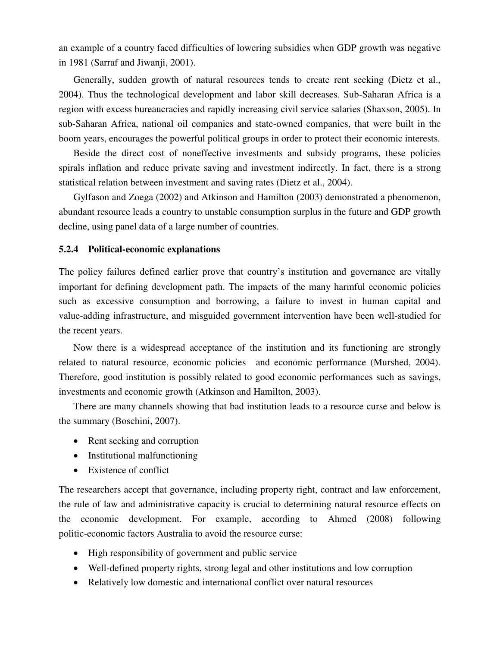an example of a country faced difficulties of lowering subsidies when GDP growth was negative in 1981 (Sarraf and Jiwanji, 2001).

Generally, sudden growth of natural resources tends to create rent seeking (Dietz et al., 2004). Thus the technological development and labor skill decreases. Sub-Saharan Africa is a region with excess bureaucracies and rapidly increasing civil service salaries (Shaxson, 2005). In sub-Saharan Africa, national oil companies and state-owned companies, that were built in the boom years, encourages the powerful political groups in order to protect their economic interests.

Beside the direct cost of noneffective investments and subsidy programs, these policies spirals inflation and reduce private saving and investment indirectly. In fact, there is a strong statistical relation between investment and saving rates (Dietz et al., 2004).

Gylfason and Zoega (2002) and Atkinson and Hamilton (2003) demonstrated a phenomenon, abundant resource leads a country to unstable consumption surplus in the future and GDP growth decline, using panel data of a large number of countries.

### **5.2.4 Political-economic explanations**

The policy failures defined earlier prove that country's institution and governance are vitally important for defining development path. The impacts of the many harmful economic policies such as excessive consumption and borrowing, a failure to invest in human capital and value-adding infrastructure, and misguided government intervention have been well-studied for the recent years.

Now there is a widespread acceptance of the institution and its functioning are strongly related to natural resource, economic policies and economic performance (Murshed, 2004). Therefore, good institution is possibly related to good economic performances such as savings, investments and economic growth (Atkinson and Hamilton, 2003).

There are many channels showing that bad institution leads to a resource curse and below is the summary (Boschini, 2007).

- Rent seeking and corruption
- Institutional malfunctioning
- Existence of conflict

The researchers accept that governance, including property right, contract and law enforcement, the rule of law and administrative capacity is crucial to determining natural resource effects on the economic development. For example, according to Ahmed (2008) following politic-economic factors Australia to avoid the resource curse:

- High responsibility of government and public service
- Well-defined property rights, strong legal and other institutions and low corruption
- Relatively low domestic and international conflict over natural resources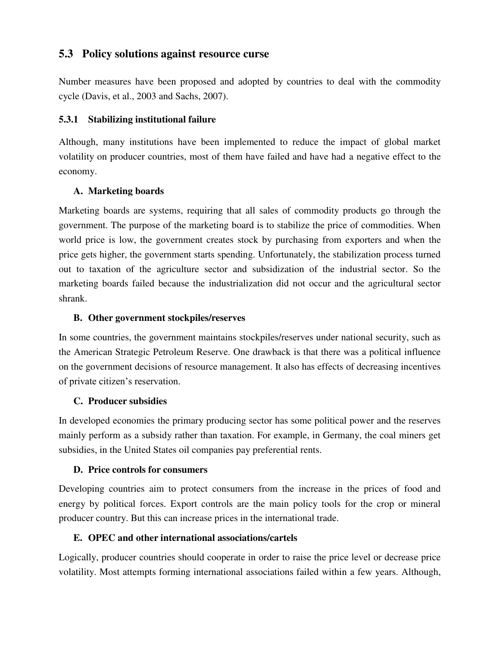# **5.3 Policy solutions against resource curse**

Number measures have been proposed and adopted by countries to deal with the commodity cycle (Davis, et al., 2003 and Sachs, 2007).

# **5.3.1 Stabilizing institutional failure**

Although, many institutions have been implemented to reduce the impact of global market volatility on producer countries, most of them have failed and have had a negative effect to the economy.

# **A. Marketing boards**

Marketing boards are systems, requiring that all sales of commodity products go through the government. The purpose of the marketing board is to stabilize the price of commodities. When world price is low, the government creates stock by purchasing from exporters and when the price gets higher, the government starts spending. Unfortunately, the stabilization process turned out to taxation of the agriculture sector and subsidization of the industrial sector. So the marketing boards failed because the industrialization did not occur and the agricultural sector shrank.

# **B. Other government stockpiles/reserves**

In some countries, the government maintains stockpiles/reserves under national security, such as the American Strategic Petroleum Reserve. One drawback is that there was a political influence on the government decisions of resource management. It also has effects of decreasing incentives of private citizen's reservation.

# **C. Producer subsidies**

In developed economies the primary producing sector has some political power and the reserves mainly perform as a subsidy rather than taxation. For example, in Germany, the coal miners get subsidies, in the United States oil companies pay preferential rents.

# **D. Price controls for consumers**

Developing countries aim to protect consumers from the increase in the prices of food and energy by political forces. Export controls are the main policy tools for the crop or mineral producer country. But this can increase prices in the international trade.

# **E. OPEC and other international associations/cartels**

Logically, producer countries should cooperate in order to raise the price level or decrease price volatility. Most attempts forming international associations failed within a few years. Although,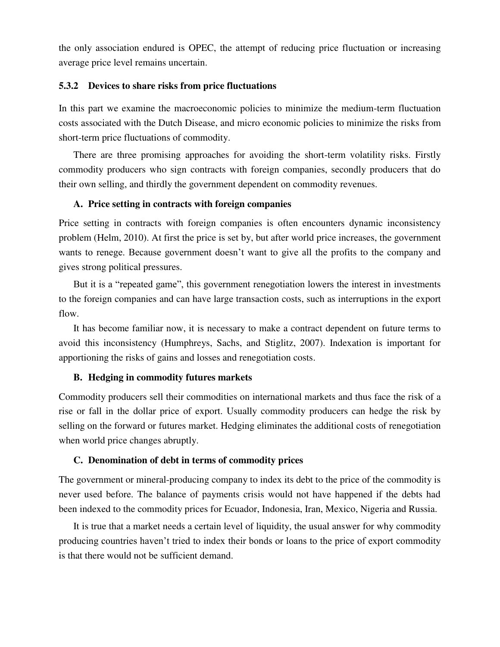the only association endured is OPEC, the attempt of reducing price fluctuation or increasing average price level remains uncertain.

### **5.3.2 Devices to share risks from price fluctuations**

In this part we examine the macroeconomic policies to minimize the medium-term fluctuation costs associated with the Dutch Disease, and micro economic policies to minimize the risks from short-term price fluctuations of commodity.

There are three promising approaches for avoiding the short-term volatility risks. Firstly commodity producers who sign contracts with foreign companies, secondly producers that do their own selling, and thirdly the government dependent on commodity revenues.

### **A. Price setting in contracts with foreign companies**

Price setting in contracts with foreign companies is often encounters dynamic inconsistency problem (Helm, 2010). At first the price is set by, but after world price increases, the government wants to renege. Because government doesn't want to give all the profits to the company and gives strong political pressures.

But it is a "repeated game", this government renegotiation lowers the interest in investments to the foreign companies and can have large transaction costs, such as interruptions in the export flow.

It has become familiar now, it is necessary to make a contract dependent on future terms to avoid this inconsistency (Humphreys, Sachs, and Stiglitz, 2007). Indexation is important for apportioning the risks of gains and losses and renegotiation costs.

### **B. Hedging in commodity futures markets**

Commodity producers sell their commodities on international markets and thus face the risk of a rise or fall in the dollar price of export. Usually commodity producers can hedge the risk by selling on the forward or futures market. Hedging eliminates the additional costs of renegotiation when world price changes abruptly.

#### **C. Denomination of debt in terms of commodity prices**

The government or mineral-producing company to index its debt to the price of the commodity is never used before. The balance of payments crisis would not have happened if the debts had been indexed to the commodity prices for Ecuador, Indonesia, Iran, Mexico, Nigeria and Russia.

It is true that a market needs a certain level of liquidity, the usual answer for why commodity producing countries haven't tried to index their bonds or loans to the price of export commodity is that there would not be sufficient demand.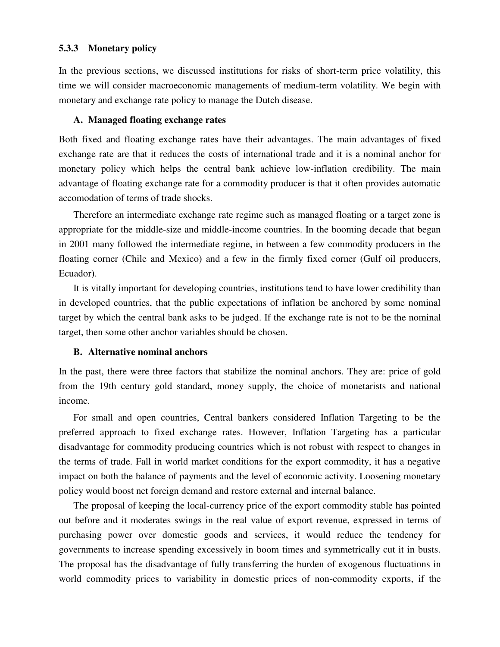### **5.3.3 Monetary policy**

In the previous sections, we discussed institutions for risks of short-term price volatility, this time we will consider macroeconomic managements of medium-term volatility. We begin with monetary and exchange rate policy to manage the Dutch disease.

### **A. Managed floating exchange rates**

Both fixed and floating exchange rates have their advantages. The main advantages of fixed exchange rate are that it reduces the costs of international trade and it is a nominal anchor for monetary policy which helps the central bank achieve low-inflation credibility. The main advantage of floating exchange rate for a commodity producer is that it often provides automatic accomodation of terms of trade shocks.

Therefore an intermediate exchange rate regime such as managed floating or a target zone is appropriate for the middle-size and middle-income countries. In the booming decade that began in 2001 many followed the intermediate regime, in between a few commodity producers in the floating corner (Chile and Mexico) and a few in the firmly fixed corner (Gulf oil producers, Ecuador).

It is vitally important for developing countries, institutions tend to have lower credibility than in developed countries, that the public expectations of inflation be anchored by some nominal target by which the central bank asks to be judged. If the exchange rate is not to be the nominal target, then some other anchor variables should be chosen.

### **B. Alternative nominal anchors**

In the past, there were three factors that stabilize the nominal anchors. They are: price of gold from the 19th century gold standard, money supply, the choice of monetarists and national income.

For small and open countries, Central bankers considered Inflation Targeting to be the preferred approach to fixed exchange rates. However, Inflation Targeting has a particular disadvantage for commodity producing countries which is not robust with respect to changes in the terms of trade. Fall in world market conditions for the export commodity, it has a negative impact on both the balance of payments and the level of economic activity. Loosening monetary policy would boost net foreign demand and restore external and internal balance.

The proposal of keeping the local-currency price of the export commodity stable has pointed out before and it moderates swings in the real value of export revenue, expressed in terms of purchasing power over domestic goods and services, it would reduce the tendency for governments to increase spending excessively in boom times and symmetrically cut it in busts. The proposal has the disadvantage of fully transferring the burden of exogenous fluctuations in world commodity prices to variability in domestic prices of non-commodity exports, if the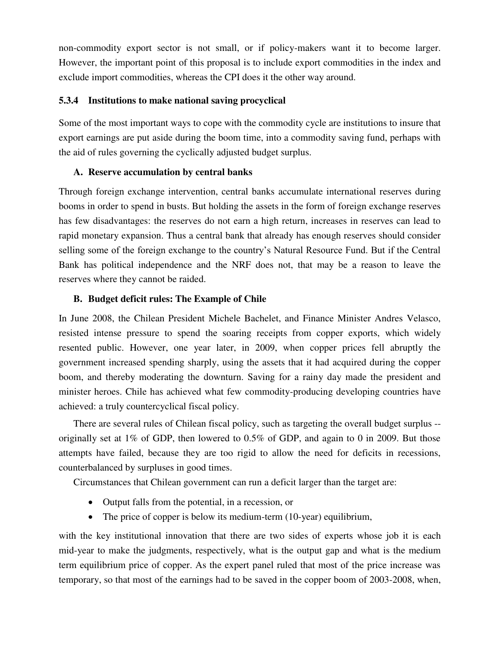non-commodity export sector is not small, or if policy-makers want it to become larger. However, the important point of this proposal is to include export commodities in the index and exclude import commodities, whereas the CPI does it the other way around.

# **5.3.4 Institutions to make national saving procyclical**

Some of the most important ways to cope with the commodity cycle are institutions to insure that export earnings are put aside during the boom time, into a commodity saving fund, perhaps with the aid of rules governing the cyclically adjusted budget surplus.

# **A. Reserve accumulation by central banks**

Through foreign exchange intervention, central banks accumulate international reserves during booms in order to spend in busts. But holding the assets in the form of foreign exchange reserves has few disadvantages: the reserves do not earn a high return, increases in reserves can lead to rapid monetary expansion. Thus a central bank that already has enough reserves should consider selling some of the foreign exchange to the country's Natural Resource Fund. But if the Central Bank has political independence and the NRF does not, that may be a reason to leave the reserves where they cannot be raided.

# **B. Budget deficit rules: The Example of Chile**

In June 2008, the Chilean President Michele Bachelet, and Finance Minister Andres Velasco, resisted intense pressure to spend the soaring receipts from copper exports, which widely resented public. However, one year later, in 2009, when copper prices fell abruptly the government increased spending sharply, using the assets that it had acquired during the copper boom, and thereby moderating the downturn. Saving for a rainy day made the president and minister heroes. Chile has achieved what few commodity-producing developing countries have achieved: a truly countercyclical fiscal policy.

There are several rules of Chilean fiscal policy, such as targeting the overall budget surplus - originally set at 1% of GDP, then lowered to 0.5% of GDP, and again to 0 in 2009. But those attempts have failed, because they are too rigid to allow the need for deficits in recessions, counterbalanced by surpluses in good times.

Circumstances that Chilean government can run a deficit larger than the target are:

- Output falls from the potential, in a recession, or
- The price of copper is below its medium-term (10-year) equilibrium,

with the key institutional innovation that there are two sides of experts whose job it is each mid-year to make the judgments, respectively, what is the output gap and what is the medium term equilibrium price of copper. As the expert panel ruled that most of the price increase was temporary, so that most of the earnings had to be saved in the copper boom of 2003-2008, when,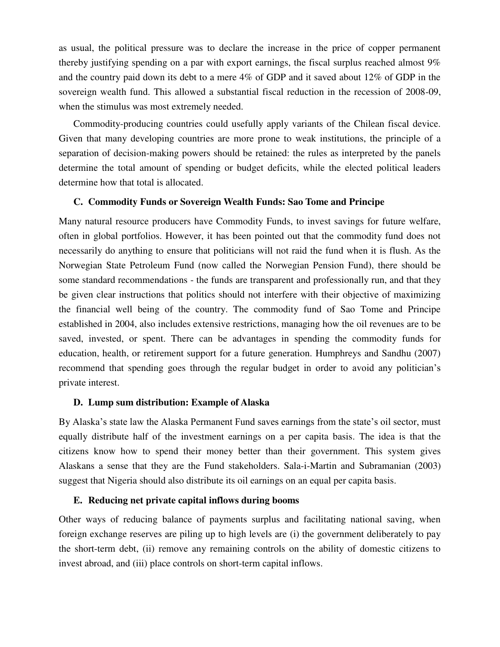as usual, the political pressure was to declare the increase in the price of copper permanent thereby justifying spending on a par with export earnings, the fiscal surplus reached almost 9% and the country paid down its debt to a mere 4% of GDP and it saved about 12% of GDP in the sovereign wealth fund. This allowed a substantial fiscal reduction in the recession of 2008-09, when the stimulus was most extremely needed.

Commodity-producing countries could usefully apply variants of the Chilean fiscal device. Given that many developing countries are more prone to weak institutions, the principle of a separation of decision-making powers should be retained: the rules as interpreted by the panels determine the total amount of spending or budget deficits, while the elected political leaders determine how that total is allocated.

### **C. Commodity Funds or Sovereign Wealth Funds: Sao Tome and Principe**

Many natural resource producers have Commodity Funds, to invest savings for future welfare, often in global portfolios. However, it has been pointed out that the commodity fund does not necessarily do anything to ensure that politicians will not raid the fund when it is flush. As the Norwegian State Petroleum Fund (now called the Norwegian Pension Fund), there should be some standard recommendations - the funds are transparent and professionally run, and that they be given clear instructions that politics should not interfere with their objective of maximizing the financial well being of the country. The commodity fund of Sao Tome and Principe established in 2004, also includes extensive restrictions, managing how the oil revenues are to be saved, invested, or spent. There can be advantages in spending the commodity funds for education, health, or retirement support for a future generation. Humphreys and Sandhu (2007) recommend that spending goes through the regular budget in order to avoid any politician's private interest.

# **D. Lump sum distribution: Example of Alaska**

By Alaska's state law the Alaska Permanent Fund saves earnings from the state's oil sector, must equally distribute half of the investment earnings on a per capita basis. The idea is that the citizens know how to spend their money better than their government. This system gives Alaskans a sense that they are the Fund stakeholders. Sala-i-Martin and Subramanian (2003) suggest that Nigeria should also distribute its oil earnings on an equal per capita basis.

### **E. Reducing net private capital inflows during booms**

Other ways of reducing balance of payments surplus and facilitating national saving, when foreign exchange reserves are piling up to high levels are (i) the government deliberately to pay the short-term debt, (ii) remove any remaining controls on the ability of domestic citizens to invest abroad, and (iii) place controls on short-term capital inflows.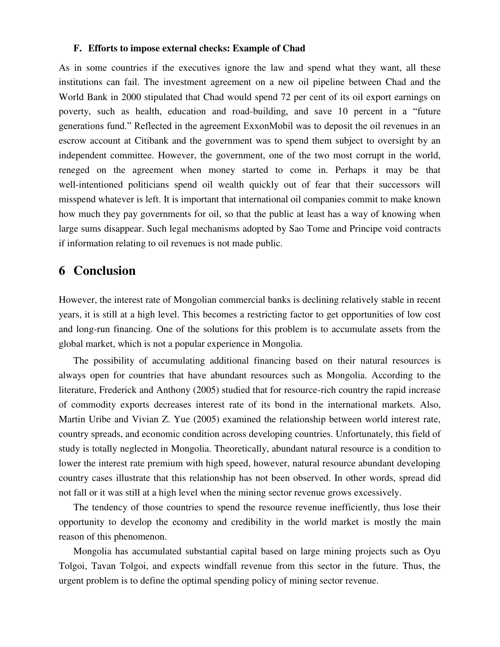#### **F. Efforts to impose external checks: Example of Chad**

As in some countries if the executives ignore the law and spend what they want, all these institutions can fail. The investment agreement on a new oil pipeline between Chad and the World Bank in 2000 stipulated that Chad would spend 72 per cent of its oil export earnings on poverty, such as health, education and road-building, and save 10 percent in a "future generations fund." Reflected in the agreement ExxonMobil was to deposit the oil revenues in an escrow account at Citibank and the government was to spend them subject to oversight by an independent committee. However, the government, one of the two most corrupt in the world, reneged on the agreement when money started to come in. Perhaps it may be that well-intentioned politicians spend oil wealth quickly out of fear that their successors will misspend whatever is left. It is important that international oil companies commit to make known how much they pay governments for oil, so that the public at least has a way of knowing when large sums disappear. Such legal mechanisms adopted by Sao Tome and Principe void contracts if information relating to oil revenues is not made public.

# **6 Conclusion**

However, the interest rate of Mongolian commercial banks is declining relatively stable in recent years, it is still at a high level. This becomes a restricting factor to get opportunities of low cost and long-run financing. One of the solutions for this problem is to accumulate assets from the global market, which is not a popular experience in Mongolia.

The possibility of accumulating additional financing based on their natural resources is always open for countries that have abundant resources such as Mongolia. According to the literature, Frederick and Anthony (2005) studied that for resource-rich country the rapid increase of commodity exports decreases interest rate of its bond in the international markets. Also, Martin Uribe and Vivian Z. Yue (2005) examined the relationship between world interest rate, country spreads, and economic condition across developing countries. Unfortunately, this field of study is totally neglected in Mongolia. Theoretically, abundant natural resource is a condition to lower the interest rate premium with high speed, however, natural resource abundant developing country cases illustrate that this relationship has not been observed. In other words, spread did not fall or it was still at a high level when the mining sector revenue grows excessively.

The tendency of those countries to spend the resource revenue inefficiently, thus lose their opportunity to develop the economy and credibility in the world market is mostly the main reason of this phenomenon.

Mongolia has accumulated substantial capital based on large mining projects such as Oyu Tolgoi, Tavan Tolgoi, and expects windfall revenue from this sector in the future. Thus, the urgent problem is to define the optimal spending policy of mining sector revenue.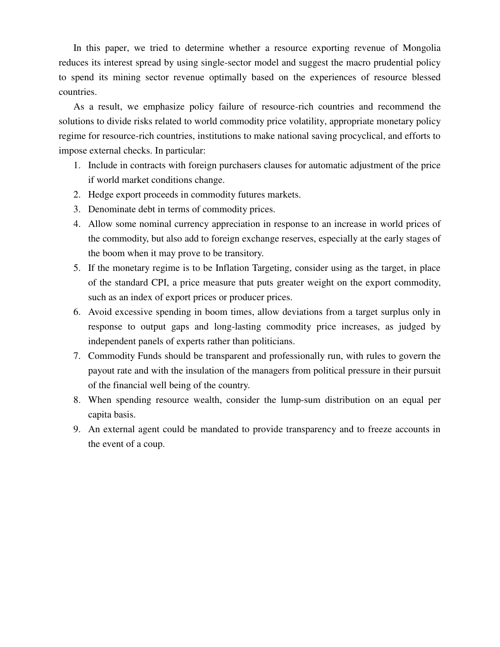In this paper, we tried to determine whether a resource exporting revenue of Mongolia reduces its interest spread by using single-sector model and suggest the macro prudential policy to spend its mining sector revenue optimally based on the experiences of resource blessed countries.

As a result, we emphasize policy failure of resource-rich countries and recommend the solutions to divide risks related to world commodity price volatility, appropriate monetary policy regime for resource-rich countries, institutions to make national saving procyclical, and efforts to impose external checks. In particular:

- 1. Include in contracts with foreign purchasers clauses for automatic adjustment of the price if world market conditions change.
- 2. Hedge export proceeds in commodity futures markets.
- 3. Denominate debt in terms of commodity prices.
- 4. Allow some nominal currency appreciation in response to an increase in world prices of the commodity, but also add to foreign exchange reserves, especially at the early stages of the boom when it may prove to be transitory.
- 5. If the monetary regime is to be Inflation Targeting, consider using as the target, in place of the standard CPI, a price measure that puts greater weight on the export commodity, such as an index of export prices or producer prices.
- 6. Avoid excessive spending in boom times, allow deviations from a target surplus only in response to output gaps and long-lasting commodity price increases, as judged by independent panels of experts rather than politicians.
- 7. Commodity Funds should be transparent and professionally run, with rules to govern the payout rate and with the insulation of the managers from political pressure in their pursuit of the financial well being of the country.
- 8. When spending resource wealth, consider the lump-sum distribution on an equal per capita basis.
- 9. An external agent could be mandated to provide transparency and to freeze accounts in the event of a coup.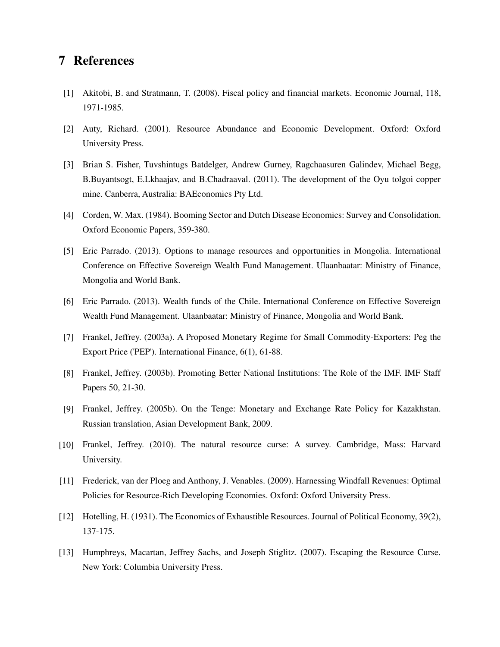# **7 References**

- [1] Akitobi, B. and Stratmann, T. (2008). Fiscal policy and financial markets. Economic Journal, 118, 1971-1985.
- [2] Auty, Richard. (2001). Resource Abundance and Economic Development. Oxford: Oxford University Press.
- [3] Brian S. Fisher, Tuvshintugs Batdelger, Andrew Gurney, Ragchaasuren Galindev, Michael Begg, B.Buyantsogt, E.Lkhaajav, and B.Chadraaval. (2011). The development of the Oyu tolgoi copper mine. Canberra, Australia: BAEconomics Pty Ltd.
- [4] Corden, W. Max. (1984). Booming Sector and Dutch Disease Economics: Survey and Consolidation. Oxford Economic Papers, 359-380.
- [5] Eric Parrado. (2013). Options to manage resources and opportunities in Mongolia. International Conference on Effective Sovereign Wealth Fund Management. Ulaanbaatar: Ministry of Finance, Mongolia and World Bank.
- [6] Eric Parrado. (2013). Wealth funds of the Chile. International Conference on Effective Sovereign Wealth Fund Management. Ulaanbaatar: Ministry of Finance, Mongolia and World Bank.
- [7] Frankel, Jeffrey. (2003a). A Proposed Monetary Regime for Small Commodity-Exporters: Peg the Export Price ('PEP'). International Finance, 6(1), 61-88.
- [8] Frankel, Jeffrey. (2003b). Promoting Better National Institutions: The Role of the IMF. IMF Staff Papers 50, 21-30.
- [9] Frankel, Jeffrey. (2005b). On the Tenge: Monetary and Exchange Rate Policy for Kazakhstan. Russian translation, Asian Development Bank, 2009.
- [10] Frankel, Jeffrey. (2010). The natural resource curse: A survey. Cambridge, Mass: Harvard University.
- [11] Frederick, van der Ploeg and Anthony, J. Venables. (2009). Harnessing Windfall Revenues: Optimal Policies for Resource-Rich Developing Economies. Oxford: Oxford University Press.
- [12] Hotelling, H. (1931). The Economics of Exhaustible Resources. Journal of Political Economy, 39(2), 137-175.
- [13] Humphreys, Macartan, Jeffrey Sachs, and Joseph Stiglitz. (2007). Escaping the Resource Curse. New York: Columbia University Press.